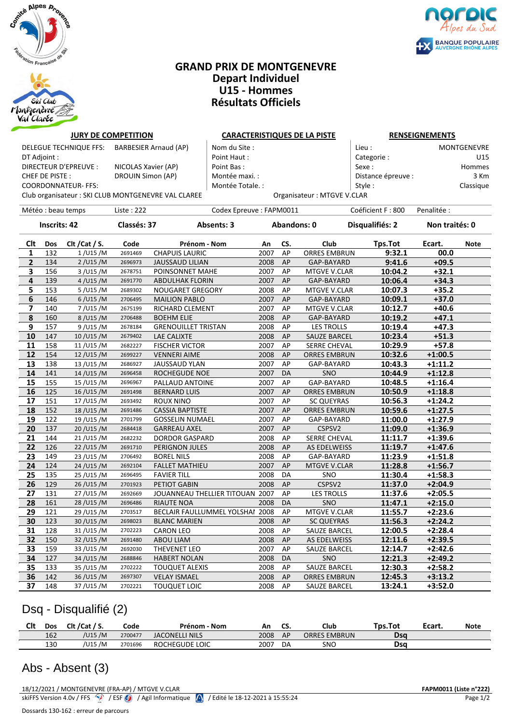

### **GRAND PRIX DE MONTGENEVRE Depart Individuel U15 - Hommes Résultats Officiels**



#### **IURY DE COMPETITION CARACTERISTIQUES DE LA PISTE RENSEIGNEMENTS**

| DELEGUE TECHNIQUE FFS: | BARBESIER Arnaud (AP)                               | Nom du Site :    |                            | Lieu :             | MONTGENEVRE |
|------------------------|-----------------------------------------------------|------------------|----------------------------|--------------------|-------------|
| DT Adjoint :           |                                                     | Point Haut:      |                            | Categorie:         | U15         |
| DIRECTEUR D'EPREUVE :  | NICOLAS Xavier (AP)                                 | Point Bas:       |                            | Sexe:              | Hommes      |
| CHEF DE PISTE :        | DROUIN Simon (AP)                                   | Montée maxi. :   |                            | Distance épreuve : | 3 Km        |
| COORDONNATEUR- FFS:    |                                                     | Montée Totale. : |                            | Style :            | Classique   |
|                        | Club organisateur : SKI CLUB MONTGENEVRE VAL CLAREE |                  | Organisateur: MTGVE V.CLAR |                    |             |

|  | <b>KENSEIGNEIVIEN I S</b> |             |
|--|---------------------------|-------------|
|  |                           | <b>MONT</b> |

| cu.               | <u>IVIUIN I ULINL VIIL</u> |
|-------------------|----------------------------|
| ategorie :        | U15                        |
| exe :             | Homme:                     |
| istance épreuve : | 3 Km                       |
| tyle :            | Classique                  |
| ∧₽                |                            |

| Club organisateur : SKI CLUB MONTGENEVRE VAL CLAREE |                     |                    |             |                                 |                         |             | Organisateur: MTGVE V.CLAR |                   |                |             |
|-----------------------------------------------------|---------------------|--------------------|-------------|---------------------------------|-------------------------|-------------|----------------------------|-------------------|----------------|-------------|
|                                                     |                     | Météo : beau temps | Liste: 222  |                                 | Codex Epreuve: FAPM0011 |             |                            | Coéficient F: 800 | Penalitée :    |             |
|                                                     | <b>Inscrits: 42</b> |                    | Classés: 37 | Absents: 3                      |                         | Abandons: 0 |                            | Disqualifiés: 2   | Non traités: 0 |             |
| Clt                                                 | Dos                 | Clt / Cat / S.     | Code        | Prénom - Nom                    | An                      | CS.         | Club                       | <b>Tps.Tot</b>    | Ecart.         | <b>Note</b> |
| 1                                                   | 132                 | 1/U15/M            | 2691469     | <b>CHAPUIS LAURIC</b>           | 2007                    | AP          | <b>ORRES EMBRUN</b>        | 9:32.1            | 00.0           |             |
| $\overline{2}$                                      | 134                 | 2 / U15 / M        | 2696973     | <b>JAUSSAUD LILIAN</b>          | 2008                    | AP          | GAP-BAYARD                 | 9:41.6            | $+09.5$        |             |
| 3                                                   | 156                 | 3/U15/M            | 2678751     | POINSONNET MAHE                 | 2007                    | AP          | MTGVE V.CLAR               | 10:04.2           | $+32.1$        |             |
| 4                                                   | 139                 | 4 / U15 / M        | 2691770     | <b>ABDULHAK FLORIN</b>          | 2007                    | AP          | GAP-BAYARD                 | 10:06.4           | $+34.3$        |             |
| 5                                                   | 153                 | 5/U15/M            | 2689302     | <b>NOUGARET GREGORY</b>         | 2008                    | AP          | MTGVE V.CLAR               | 10:07.3           | $+35.2$        |             |
| 6                                                   | 146                 | 6/U15/M            | 2706495     | <b>MAILION PABLO</b>            | 2007                    | AP          | GAP-BAYARD                 | 10:09.1           | $+37.0$        |             |
| 7                                                   | 140                 | 7/U15/M            | 2675199     | RICHARD CLEMENT                 | 2007                    | AP          | MTGVE V.CLAR               | 10:12.7           | $+40.6$        |             |
| 8                                                   | 160                 | 8/U15/M            | 2706488     | <b>BOEHM ELIE</b>               | 2008                    | AP          | GAP-BAYARD                 | 10:19.2           | $+47.1$        |             |
| 9                                                   | 157                 | 9/U15/M            | 2678184     | <b>GRENOUILLET TRISTAN</b>      | 2008                    | AP          | <b>LES TROLLS</b>          | 10:19.4           | $+47.3$        |             |
| 10                                                  | 147                 | 10/U15/M           | 2679402     | <b>LAE CALIXTE</b>              | 2008                    | AP          | <b>SAUZE BARCEL</b>        | 10:23.4           | $+51.3$        |             |
| 11                                                  | 158                 | 11/U15/M           | 2682227     | <b>FISCHER VICTOR</b>           | 2007                    | AP          | <b>SERRE CHEVAL</b>        | 10:29.9           | $+57.8$        |             |
| 12                                                  | 154                 | 12/U15/M           | 2699227     | <b>VENNERI AIME</b>             | 2008                    | AP          | <b>ORRES EMBRUN</b>        | 10:32.6           | $+1:00.5$      |             |
| 13                                                  | 138                 | 13/U15/M           | 2686927     | <b>JAUSSAUD YLAN</b>            | 2007                    | AP          | GAP-BAYARD                 | 10:43.3           | $+1:11.2$      |             |
| 14                                                  | 141                 | 14/U15/M           | 2696458     | ROCHEGUDE NOE                   | 2007                    | DA          | SNO                        | 10:44.9           | $+1:12.8$      |             |
| 15                                                  | 155                 | 15/U15/M           | 2696967     | PALLAUD ANTOINE                 | 2007                    | AP          | GAP-BAYARD                 | 10:48.5           | $+1:16.4$      |             |
| 16                                                  | 125                 | 16/U15/M           | 2691498     | <b>BERNARD LUIS</b>             | 2007                    | AP          | <b>ORRES EMBRUN</b>        | 10:50.9           | $+1:18.8$      |             |
| 17                                                  | 151                 | 17/U15/M           | 2693492     | <b>ROUX NINO</b>                | 2007                    | AP          | <b>SC QUEYRAS</b>          | 10:56.3           | $+1:24.2$      |             |
| 18                                                  | 152                 | 18/U15/M           | 2691486     | <b>CASSIA BAPTISTE</b>          | 2007                    | AP          | <b>ORRES EMBRUN</b>        | 10:59.6           | $+1:27.5$      |             |
| 19                                                  | 122                 | 19/U15/M           | 2701799     | <b>GOSSELIN NUMAEL</b>          | 2007                    | AP          | GAP-BAYARD                 | 11:00.0           | $+1:27.9$      |             |
| 20                                                  | 137                 | 20/U15/M           | 2684418     | <b>GARREAU AXEL</b>             | 2007                    | AP          | CSPSV2                     | 11:09.0           | $+1:36.9$      |             |
| 21                                                  | 144                 | 21/U15/M           | 2682232     | <b>DORDOR GASPARD</b>           | 2008                    | AP          | <b>SERRE CHEVAL</b>        | 11:11.7           | $+1:39.6$      |             |
| 22                                                  | 126                 | 22/U15/M           | 2691710     | PERIGNON JULES                  | 2008                    | AP          | AS EDELWEISS               | 11:19.7           | $+1:47.6$      |             |
| 23                                                  | 149                 | 23/U15/M           | 2706492     | <b>BOREL NILS</b>               | 2008                    | AP          | GAP-BAYARD                 | 11:23.9           | $+1:51.8$      |             |
| 24                                                  | 124                 | 24/U15/M           | 2692104     | <b>FALLET MATHIEU</b>           | 2007                    | AP          | <b>MTGVE V.CLAR</b>        | 11:28.8           | $+1:56.7$      |             |
| 25                                                  | 135                 | 25/U15/M           | 2696495     | <b>FAVIER TILL</b>              | 2008                    | DA          | SNO                        | 11:30.4           | $+1:58.3$      |             |
| 26                                                  | 129                 | 26/U15/M           | 2701923     | PETIOT GABIN                    | 2008                    | AP          | CSPSV2                     | 11:37.0           | $+2:04.9$      |             |
| 27                                                  | 131                 | 27/U15/M           | 2692669     | JOUANNEAU THELLIER TITOUAN 2007 |                         | AP          | <b>LES TROLLS</b>          | 11:37.6           | $+2:05.5$      |             |
| 28                                                  | 161                 | 28/U15/M           | 2696486     | <b>RIAUTE NOA</b>               | 2008                    | DA          | <b>SNO</b>                 | 11:47.1           | $+2:15.0$      |             |
| 29                                                  | 121                 | 29/U15/M           | 2703517     | BECLAIR FAULLUMMEL YOLSHAI 2008 |                         | AP          | MTGVE V.CLAR               | 11:55.7           | $+2:23.6$      |             |
| 30                                                  | 123                 | 30/U15/M           | 2698023     | <b>BLANC MARIEN</b>             | 2008                    | AP          | <b>SC QUEYRAS</b>          | 11:56.3           | $+2:24.2$      |             |
| 31                                                  | 128                 | 31/U15/M           | 2702223     | <b>CARON LEO</b>                | 2008                    | AP          | SAUZE BARCEL               | 12:00.5           | $+2:28.4$      |             |

| JU. | ᅶᄼ  | 30/013/101 | <b>LOJOULJ</b> | <b>DLAIVE MANILIV</b> | zuuo<br>H  | <b>JU UULINAJ</b>   | 11.JU.J | TZ.Z4.Z   |  |
|-----|-----|------------|----------------|-----------------------|------------|---------------------|---------|-----------|--|
| 31  | 128 | 31/U15/M   | 2702223        | <b>CARON LEO</b>      | 2008<br>AP | <b>SAUZE BARCEL</b> | 12:00.5 | $+2:28.4$ |  |
| 32  | 150 | 32/U15/M   | 2691480        | ABOU LIAM             | 2008<br>AP | AS EDELWEISS        | 12:11.6 | $+2:39.5$ |  |
| 33  | 159 | 33/U15/M   | 2692030        | THEVENET LEO          | 2007<br>AP | <b>SAUZE BARCEL</b> | 12:14.7 | $+2:42.6$ |  |
| 34  | 127 | 34/U15/M   | 2688846        | <b>HABERT NOLAN</b>   | 2008<br>DA | <b>SNO</b>          | 12:21.3 | $+2:49.2$ |  |
| 35  | 133 | 35/U15/M   | 2702222        | <b>TOUQUET ALEXIS</b> | 2008<br>AP | <b>SAUZE BARCEL</b> | 12:30.3 | $+2:58.2$ |  |
| 36  | 142 | 36/U15/M   | 2697307        | <b>VELAY ISMAEL</b>   | 2008<br>AP | <b>ORRES EMBRUN</b> | 12:45.3 | $+3:13.2$ |  |
| 37  | 148 | 37/U15/M   | 2702221        | TOUQUET LOIC          | 2008<br>AP | <b>SAUZE BARCEL</b> | 13:24.1 | $+3:52.0$ |  |

## Dsq - Disqualifié (2)

| Clt | Dos | Clt $/$ Cat $/$ S. | Code    | Prénom - Nom          | Αn   | LJ. | Club                | Tps.Tot | Ecart. | <b>Note</b> |
|-----|-----|--------------------|---------|-----------------------|------|-----|---------------------|---------|--------|-------------|
|     | 162 | /U15 /M            | 2700477 | <b>JACONELLI NILS</b> | 2008 | АP  | <b>ORRES EMBRUN</b> | Dsa     |        |             |
|     | 130 | /U15 /M            | 2701696 | ROCHEGUDE LOIC        | 2007 | DA  | SNO                 | Dsa     |        |             |

# Abs - Absent (3)